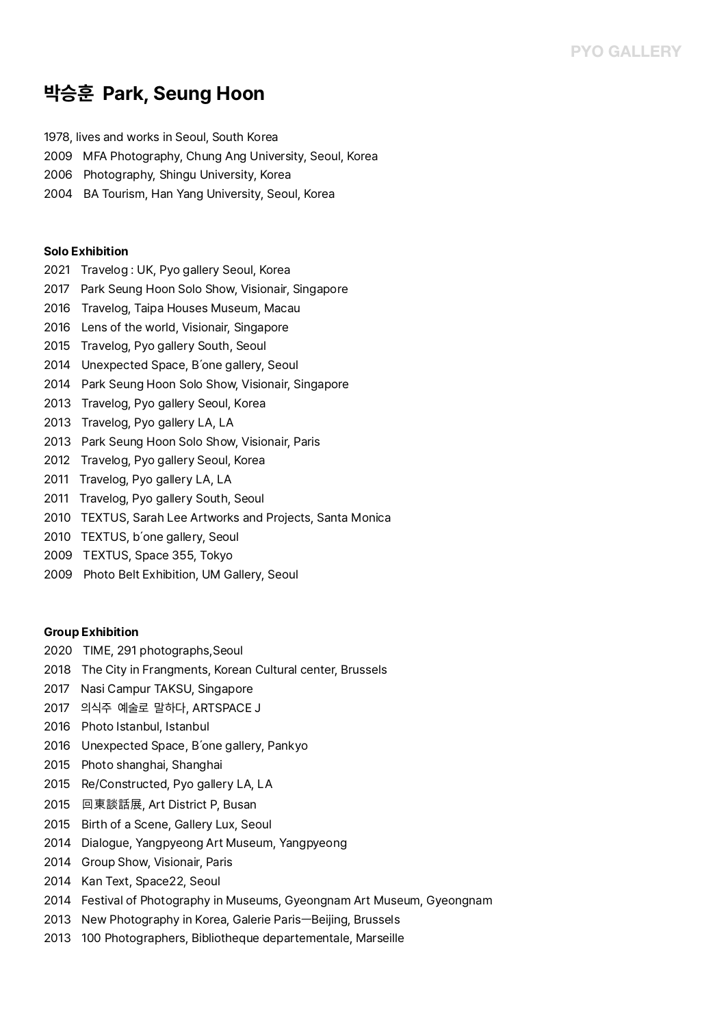# **박승훈 Park, Seung Hoon**

1978, lives and works in Seoul, South Korea

- 2009 MFA Photography, Chung Ang University, Seoul, Korea
- 2006 Photography, Shingu University, Korea
- 2004 BA Tourism, Han Yang University, Seoul, Korea

### **Solo Exhibition**

- 2021 Travelog : UK, Pyo gallery Seoul, Korea
- 2017 Park Seung Hoon Solo Show, Visionair, Singapore
- 2016 Travelog, Taipa Houses Museum, Macau
- 2016 Lens of the world, Visionair, Singapore
- 2015 Travelog, Pyo gallery South, Seoul
- 2014 Unexpected Space, B'one gallery, Seoul
- 2014 Park Seung Hoon Solo Show, Visionair, Singapore
- 2013 Travelog, Pyo gallery Seoul, Korea
- 2013 Travelog, Pyo gallery LA, LA
- 2013 Park Seung Hoon Solo Show, Visionair, Paris
- 2012 Travelog, Pyo gallery Seoul, Korea
- 2011 Travelog, Pyo gallery LA, LA
- 2011 Travelog, Pyo gallery South, Seoul
- 2010 TEXTUS, Sarah Lee Artworks and Projects, Santa Monica
- 2010 TEXTUS, b'one gallery, Seoul
- 2009 TEXTUS, Space 355, Tokyo
- 2009 Photo Belt Exhibition, UM Gallery, Seoul

### **Group Exhibition**

- 2020 TIME, 291 photographs,Seoul
- 2018 The City in Frangments, Korean Cultural center, Brussels
- 2017 Nasi Campur TAKSU, Singapore
- 2017 의식주 예술로 말하다, ARTSPACE J
- 2016 Photo Istanbul, Istanbul
- 2016 Unexpected Space, B'one gallery, Pankyo
- 2015 Photo shanghai, Shanghai
- 2015 Re/Constructed, Pyo gallery LA, LA
- 2015 回東談話展, Art District P, Busan
- 2015 Birth of a Scene, Gallery Lux, Seoul
- 2014 Dialogue, Yangpyeong Art Museum, Yangpyeong
- 2014 Group Show, Visionair, Paris
- 2014 Kan Text, Space22, Seoul
- 2014 Festival of Photography in Museums, Gyeongnam Art Museum, Gyeongnam
- 2013 New Photography in Korea, Galerie ParisㅡBeijing, Brussels
- 2013 100 Photographers, Bibliotheque departementale, Marseille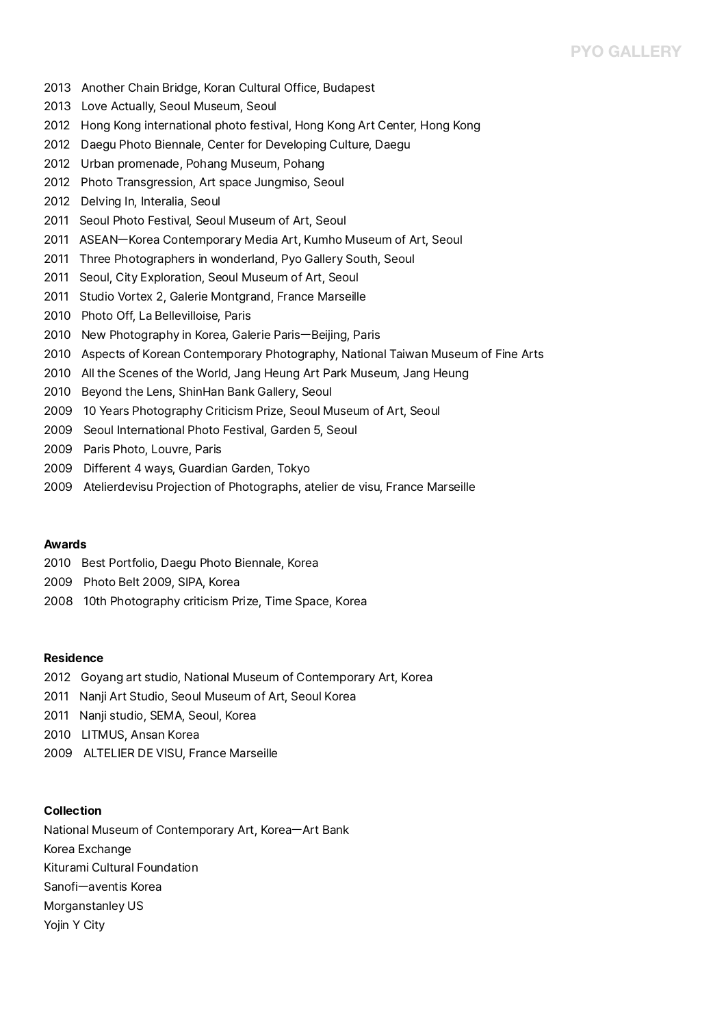## **PYO GALLERY**

- 2013 Another Chain Bridge, Koran Cultural Office, Budapest
- 2013 Love Actually, Seoul Museum, Seoul
- 2012 Hong Kong international photo festival, Hong Kong Art Center, Hong Kong
- 2012 Daegu Photo Biennale, Center for Developing Culture, Daegu
- 2012 Urban promenade, Pohang Museum, Pohang
- 2012 Photo Transgression, Art space Jungmiso, Seoul
- 2012 Delving In, Interalia, Seoul
- 2011 Seoul Photo Festival, Seoul Museum of Art, Seoul
- 2011 ASEANㅡKorea Contemporary Media Art, Kumho Museum of Art, Seoul
- 2011 Three Photographers in wonderland, Pyo Gallery South, Seoul
- 2011 Seoul, City Exploration, Seoul Museum of Art, Seoul
- 2011 Studio Vortex 2, Galerie Montgrand, France Marseille
- 2010 Photo Off, La Bellevilloise, Paris
- 2010 New Photography in Korea, Galerie ParisㅡBeijing, Paris
- 2010 Aspects of Korean Contemporary Photography, National Taiwan Museum of Fine Arts
- 2010 All the Scenes of the World, Jang Heung Art Park Museum, Jang Heung
- 2010 Beyond the Lens, ShinHan Bank Gallery, Seoul
- 2009 10 Years Photography Criticism Prize, Seoul Museum of Art, Seoul
- 2009 Seoul International Photo Festival, Garden 5, Seoul
- 2009 Paris Photo, Louvre, Paris
- 2009 Different 4 ways, Guardian Garden, Tokyo
- 2009 Atelierdevisu Projection of Photographs, atelier de visu, France Marseille

### **Awards**

- 2010 Best Portfolio, Daegu Photo Biennale, Korea
- 2009 Photo Belt 2009, SIPA, Korea
- 2008 10th Photography criticism Prize, Time Space, Korea

### **Residence**

- 2012 Goyang art studio, National Museum of Contemporary Art, Korea 2011 Nanji Art Studio, Seoul Museum of Art, Seoul Korea
- 
- 2011 Nanji studio, SEMA, Seoul, Korea
- 2010 LITMUS, Ansan Korea
- 2009 ALTELIER DE VISU, France Marseille

### **Collection**

National Museum of Contemporary Art, KoreaㅡArt Bank Korea Exchange Kiturami Cultural Foundation Sanofiㅡaventis Korea Morganstanley US Yojin Y City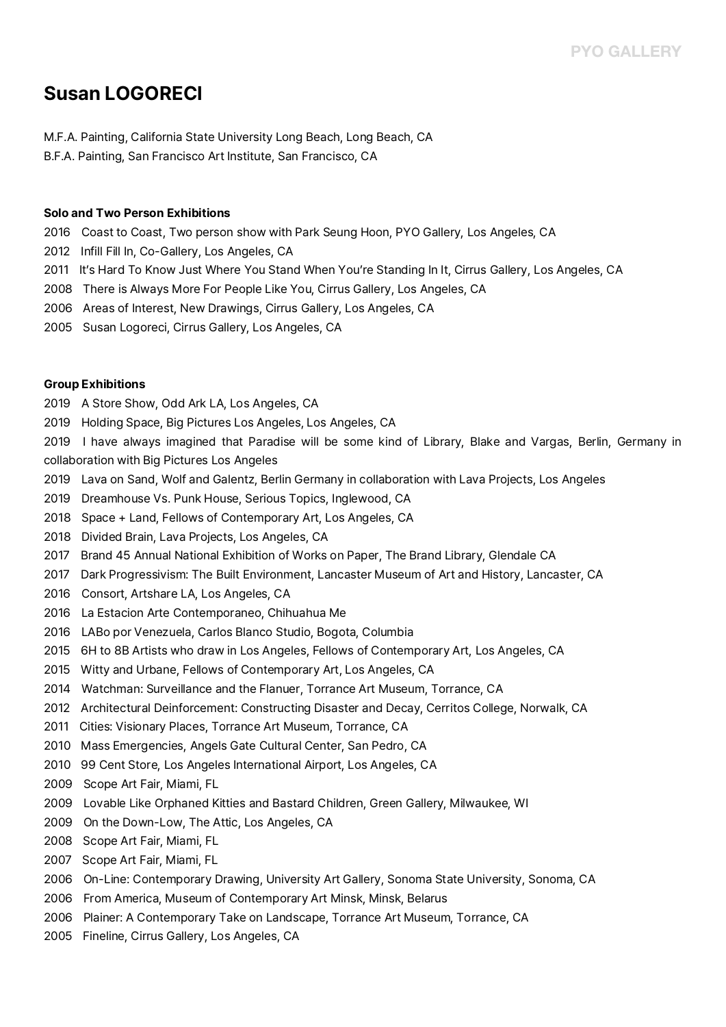## **Susan LOGORECI**

M.F.A. Painting, California State University Long Beach, Long Beach, CA B.F.A. Painting, San Francisco Art Institute, San Francisco, CA

### **Solo and Two Person Exhibitions**

2016 Coast to Coast, Two person show with Park Seung Hoon, PYO Gallery, Los Angeles, CA

- 2012 Infill Fill In, Co-Gallery, Los Angeles, CA
- 2011 It's Hard To Know Just Where You Stand When You're Standing In It, Cirrus Gallery, Los Angeles, CA
- 2008 There is Always More For People Like You, Cirrus Gallery, Los Angeles, CA
- 2006 Areas of Interest, New Drawings, Cirrus Gallery, Los Angeles, CA
- 2005 Susan Logoreci, Cirrus Gallery, Los Angeles, CA

### **Group Exhibitions**

- 2019 A Store Show, Odd Ark LA, Los Angeles, CA
- 2019 Holding Space, Big Pictures Los Angeles, Los Angeles, CA

2019 I have always imagined that Paradise will be some kind of Library, Blake and Vargas, Berlin, Germany in collaboration with Big Pictures Los Angeles

- 2019 Lava on Sand, Wolf and Galentz, Berlin Germany in collaboration with Lava Projects, Los Angeles
- 2019 Dreamhouse Vs. Punk House, Serious Topics, Inglewood, CA
- 2018 Space + Land, Fellows of Contemporary Art, Los Angeles, CA
- 2018 Divided Brain, Lava Projects, Los Angeles, CA
- 2017 Brand 45 Annual National Exhibition of Works on Paper, The Brand Library, Glendale CA
- 2017 Dark Progressivism: The Built Environment, Lancaster Museum of Art and History, Lancaster, CA
- 2016 Consort, Artshare LA, Los Angeles, CA
- 2016 La Estacion Arte Contemporaneo, Chihuahua Me
- 2016 LABo por Venezuela, Carlos Blanco Studio, Bogota, Columbia
- 2015 6H to 8B Artists who draw in Los Angeles, Fellows of Contemporary Art, Los Angeles, CA
- 2015 Witty and Urbane, Fellows of Contemporary Art, Los Angeles, CA
- 2014 Watchman: Surveillance and the Flanuer, Torrance Art Museum, Torrance, CA
- 2012 Architectural Deinforcement: Constructing Disaster and Decay, Cerritos College, Norwalk, CA
- 2011 Cities: Visionary Places, Torrance Art Museum, Torrance, CA
- 2010 Mass Emergencies, Angels Gate Cultural Center, San Pedro, CA
- 2010 99 Cent Store, Los Angeles International Airport, Los Angeles, CA
- 2009 Scope Art Fair, Miami, FL
- 2009 Lovable Like Orphaned Kitties and Bastard Children, Green Gallery, Milwaukee, WI
- 2009 On the Down-Low, The Attic, Los Angeles, CA
- 2008 Scope Art Fair, Miami, FL
- 2007 Scope Art Fair, Miami, FL
- 2006 On-Line: Contemporary Drawing, University Art Gallery, Sonoma State University, Sonoma, CA
- 2006 From America, Museum of Contemporary Art Minsk, Minsk, Belarus
- 2006 Plainer: A Contemporary Take on Landscape, Torrance Art Museum, Torrance, CA
- 2005 Fineline, Cirrus Gallery, Los Angeles, CA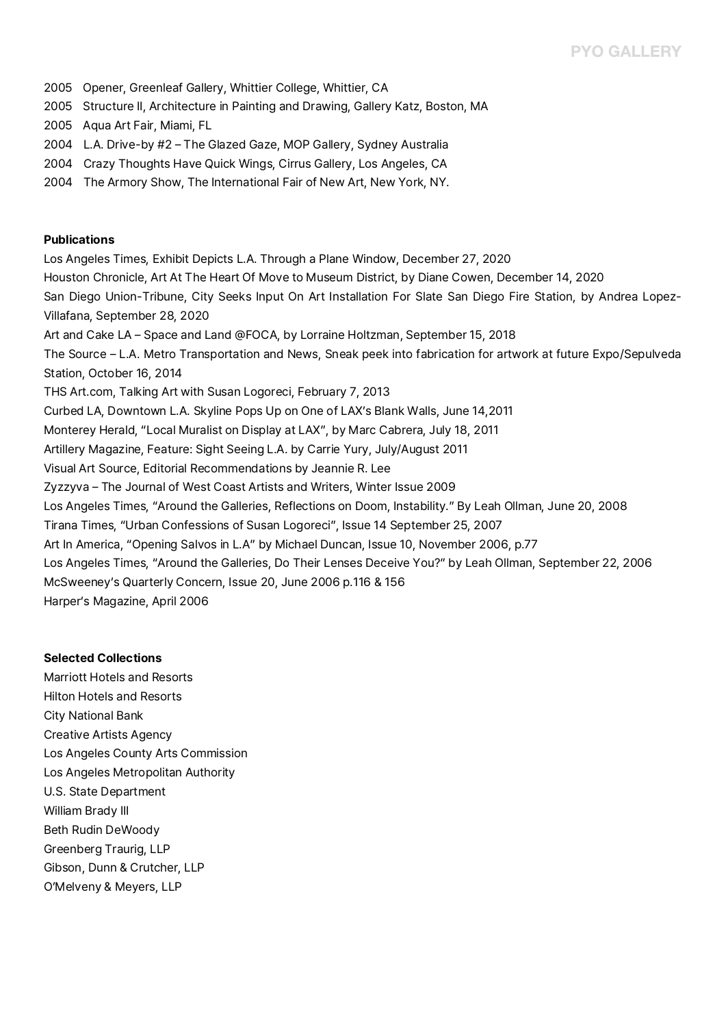- 2005 Opener, Greenleaf Gallery, Whittier College, Whittier, CA
- 2005 Structure II, Architecture in Painting and Drawing, Gallery Katz, Boston, MA
- 2005 Aqua Art Fair, Miami, FL
- 2004 L.A. Drive-by #2 The Glazed Gaze, MOP Gallery, Sydney Australia
- 2004 Crazy Thoughts Have Quick Wings, Cirrus Gallery, Los Angeles, CA
- 2004 The Armory Show, The International Fair of New Art, New York, NY.

### **Publications**

Los Angeles Times, Exhibit Depicts L.A. Through a Plane Window, December 27, 2020 Houston Chronicle, Art At The Heart Of Move to Museum District, by Diane Cowen, December 14, 2020 San Diego Union-Tribune, City Seeks Input On Art Installation For Slate San Diego Fire Station, by Andrea Lopez-Villafana, September 28, 2020<br>Art and Cake LA – Space and Land @FOCA, by Lorraine Holtzman, September 15, 2018 The Source – L.A. Metro Transportation and News, Sneak peek into fabrication for artwork at future Expo/Sepulveda<br>Station, October 16, 2014 THS Art.com, Talking Art with Susan Logoreci, February 7, 2013 Curbed LA, Downtown L.A. Skyline Pops Up on One of LAX's Blank Walls, June 14,2011 Monterey Herald, "Local Muralist on Display at LAX", by Marc Cabrera, July 18, 2011 Artillery Magazine, Feature: Sight Seeing L.A. by Carrie Yury, July/August 2011 Visual Art Source, Editorial Recommendations by Jeannie R. Lee Zyzzyva – The Journal of West Coast Artists and Writers, Winter Issue 2009 Los Angeles Times, "Around the Galleries, Reflections on Doom, Instability." By Leah Ollman, June 20, 2008 Tirana Times, "Urban Confessions of Susan Logoreci", Issue 14 September 25, 2007 Art In America, "Opening Salvos in L.A" by Michael Duncan, Issue 10, November 2006, p.77 Los Angeles Times, "Around the Galleries, Do Their Lenses Deceive You?" by Leah Ollman, September 22, 2006 McSweeney's Quarterly Concern, Issue 20, June 2006 p.116 & 156 Harper's Magazine, April 2006

### **Selected Collections**

Marriott Hotels and Resorts Hilton Hotels and Resorts City National Bank Creative Artists Agency Los Angeles County Arts Commission Los Angeles Metropolitan Authority U.S. State Department William Brady III Beth Rudin DeWoody Greenberg Traurig, LLP Gibson, Dunn & Crutcher, LLP O'Melveny & Meyers, LLP